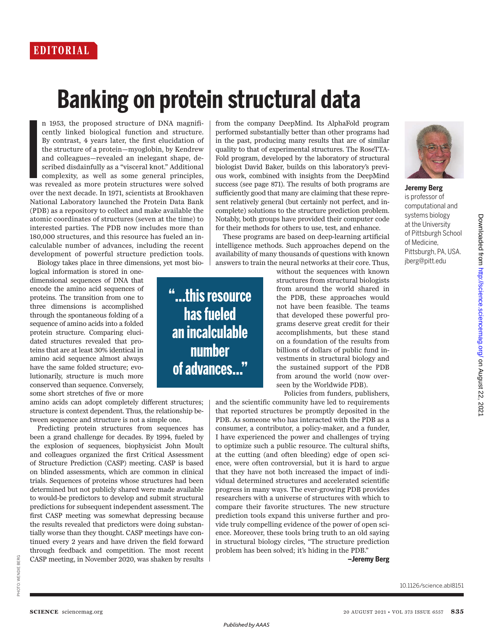## **Banking on protein structural data**

I n 1953, the proposed structure of DNA magnificently linked biological function and structure. By contrast, 4 years later, the first elucidation of the structure of a protein—myoglobin, by Kendrew and colleagues—revealed an inelegant shape, described disdainfully as a "visceral knot." Additional complexity, as well as some general principles, was revealed as more protein structures were solved over the next decade. In 1971, scientists at Brookhaven National Laboratory launched the Protein Data Bank (PDB) as a repository to collect and make available the atomic coordinates of structures (seven at the time) to interested parties. The PDB now includes more than 180,000 structures, and this resource has fueled an incalculable number of advances, including the recent development of powerful structure prediction tools. Biology takes place in three dimensions, yet most bio-

logical information is stored in onedimensional sequences of DNA that encode the amino acid sequences of proteins. The transition from one to three dimensions is accomplished through the spontaneous folding of a sequence of amino acids into a folded protein structure. Comparing elucidated structures revealed that proteins that are at least 30% identical in amino acid sequence almost always have the same folded structure; evolutionarily, structure is much more conserved than sequence. Conversely, some short stretches of five or more

amino acids can adopt completely different structures; structure is context dependent. Thus, the relationship between sequence and structure is not a simple one.

Predicting protein structures from sequences has been a grand challenge for decades. By 1994, fueled by the explosion of sequences, biophysicist John Moult and colleagues organized the first Critical Assessment of Structure Prediction (CASP) meeting. CASP is based on blinded assessments, which are common in clinical trials. Sequences of proteins whose structures had been determined but not publicly shared were made available to would-be predictors to develop and submit structural predictions for subsequent independent assessment. The first CASP meeting was somewhat depressing because the results revealed that predictors were doing substantially worse than they thought. CASP meetings have continued every 2 years and have driven the field forward through feedback and competition. The most recent CASP meeting, in November 2020, was shaken by results

**"…thisresource has fueled an incalculable number**  of advances..."

from the company DeepMind. Its AlphaFold program performed substantially better than other programs had in the past, producing many results that are of similar quality to that of experimental structures. The RoseTTA-Fold program, developed by the laboratory of structural biologist David Baker, builds on this laboratory's previous work, combined with insights from the DeepMind success (see page 871). The results of both programs are sufficiently good that many are claiming that these represent relatively general (but certainly not perfect, and incomplete) solutions to the structure prediction problem. Notably, both groups have provided their computer code for their methods for others to use, test, and enhance.

These programs are based on deep-learning artificial intelligence methods. Such approaches depend on the availability of many thousands of questions with known answers to train the neural networks at their core. Thus,

> without the sequences with known structures from structural biologists from around the world shared in the PDB, these approaches would not have been feasible. The teams that developed these powerful programs deserve great credit for their accomplishments, but these stand on a foundation of the results from billions of dollars of public fund investments in structural biology and the sustained support of the PDB from around the world (now overseen by the Worldwide PDB).

Policies from funders, publishers, and the scientific community have led to requirements that reported structures be promptly deposited in the PDB. As someone who has interacted with the PDB as a consumer, a contributor, a policy-maker, and a funder, I have experienced the power and challenges of trying to optimize such a public resource. The cultural shifts, at the cutting (and often bleeding) edge of open science, were often controversial, but it is hard to argue that they have not both increased the impact of individual determined structures and accelerated scientific progress in many ways. The ever-growing PDB provides researchers with a universe of structures with which to compare their favorite structures. The new structure prediction tools expand this universe further and provide truly compelling evidence of the power of open science. Moreover, these tools bring truth to an old saying in structural biology circles, "The structure prediction

problem has been solved; it's hiding in the PDB." **–Jeremy Berg**



**Jeremy Berg** is professor of computational and systems biology at the University of Pittsburgh School of Medicine, Pittsburgh, PA, USA. jberg@pitt.edu

10.1126/science.abl8151